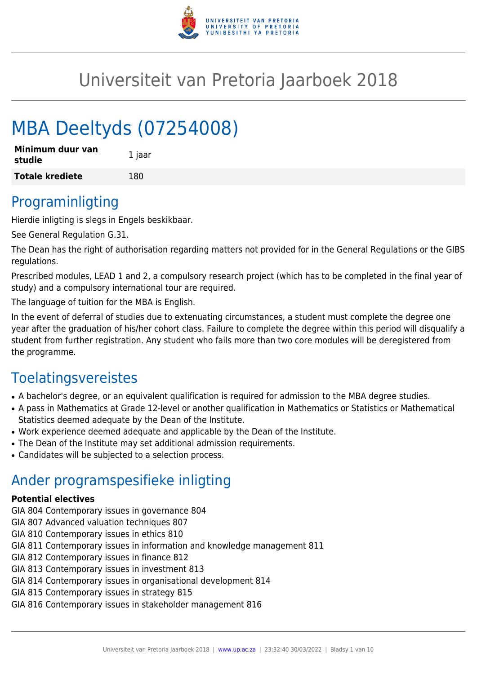

## Universiteit van Pretoria Jaarboek 2018

# MBA Deeltyds (07254008)

| Minimum duur van<br>studie | 1 jaar |
|----------------------------|--------|
| <b>Totale krediete</b>     | 180    |

### Programinligting

Hierdie inligting is slegs in Engels beskikbaar.

See General Regulation G.31.

The Dean has the right of authorisation regarding matters not provided for in the General Regulations or the GIBS regulations.

Prescribed modules, LEAD 1 and 2, a compulsory research project (which has to be completed in the final year of study) and a compulsory international tour are required.

The language of tuition for the MBA is English.

In the event of deferral of studies due to extenuating circumstances, a student must complete the degree one year after the graduation of his/her cohort class. Failure to complete the degree within this period will disqualify a student from further registration. Any student who fails more than two core modules will be deregistered from the programme.

## Toelatingsvereistes

- A bachelor's degree, or an equivalent qualification is required for admission to the MBA degree studies.
- A pass in Mathematics at Grade 12-level or another qualification in Mathematics or Statistics or Mathematical Statistics deemed adequate by the Dean of the Institute.
- Work experience deemed adequate and applicable by the Dean of the Institute.
- The Dean of the Institute may set additional admission requirements.
- Candidates will be subjected to a selection process.

### Ander programspesifieke inligting

#### **Potential electives**

- GIA 804 Contemporary issues in governance 804
- GIA 807 Advanced valuation techniques 807
- GIA 810 Contemporary issues in ethics 810
- GIA 811 Contemporary issues in information and knowledge management 811
- GIA 812 Contemporary issues in finance 812
- GIA 813 Contemporary issues in investment 813
- GIA 814 Contemporary issues in organisational development 814
- GIA 815 Contemporary issues in strategy 815
- GIA 816 Contemporary issues in stakeholder management 816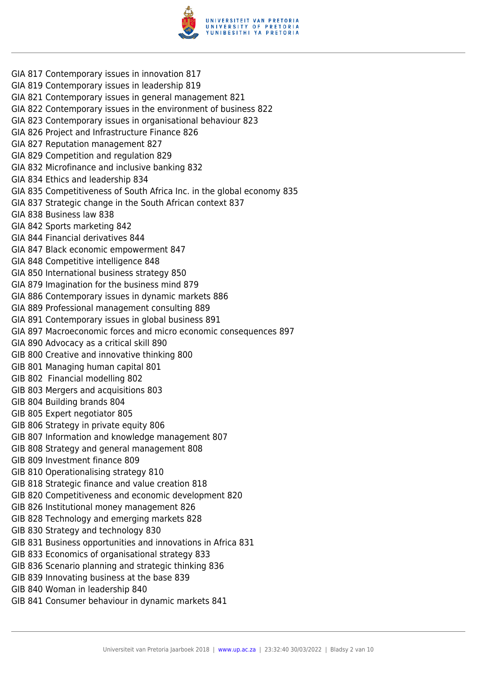

- GIA 817 Contemporary issues in innovation 817
- GIA 819 Contemporary issues in leadership 819
- GIA 821 Contemporary issues in general management 821
- GIA 822 Contemporary issues in the environment of business 822
- GIA 823 Contemporary issues in organisational behaviour 823
- GIA 826 Project and Infrastructure Finance 826
- GIA 827 Reputation management 827
- GIA 829 Competition and regulation 829
- GIA 832 Microfinance and inclusive banking 832
- GIA 834 Ethics and leadership 834
- GIA 835 Competitiveness of South Africa Inc. in the global economy 835
- GIA 837 Strategic change in the South African context 837
- GIA 838 Business law 838
- GIA 842 Sports marketing 842
- GIA 844 Financial derivatives 844
- GIA 847 Black economic empowerment 847
- GIA 848 Competitive intelligence 848
- GIA 850 International business strategy 850
- GIA 879 Imagination for the business mind 879
- GIA 886 Contemporary issues in dynamic markets 886
- GIA 889 Professional management consulting 889
- GIA 891 Contemporary issues in global business 891
- GIA 897 Macroeconomic forces and micro economic consequences 897
- GIA 890 Advocacy as a critical skill 890
- GIB 800 Creative and innovative thinking 800
- GIB 801 Managing human capital 801
- GIB 802 Financial modelling 802
- GIB 803 Mergers and acquisitions 803
- GIB 804 Building brands 804
- GIB 805 Expert negotiator 805
- GIB 806 Strategy in private equity 806
- GIB 807 Information and knowledge management 807
- GIB 808 Strategy and general management 808
- GIB 809 Investment finance 809
- GIB 810 Operationalising strategy 810
- GIB 818 Strategic finance and value creation 818
- GIB 820 Competitiveness and economic development 820
- GIB 826 Institutional money management 826
- GIB 828 Technology and emerging markets 828
- GIB 830 Strategy and technology 830
- GIB 831 Business opportunities and innovations in Africa 831
- GIB 833 Economics of organisational strategy 833
- GIB 836 Scenario planning and strategic thinking 836
- GIB 839 Innovating business at the base 839
- GIB 840 Woman in leadership 840
- GIB 841 Consumer behaviour in dynamic markets 841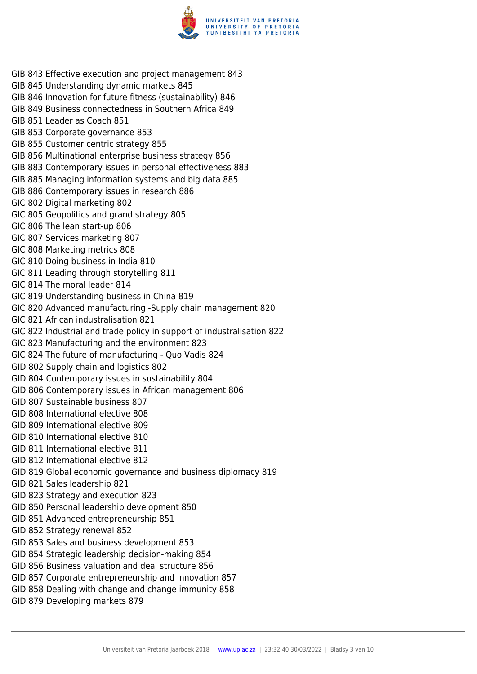

- GIB 843 Effective execution and project management 843
- GIB 845 Understanding dynamic markets 845
- GIB 846 Innovation for future fitness (sustainability) 846
- GIB 849 Business connectedness in Southern Africa 849
- GIB 851 Leader as Coach 851
- GIB 853 Corporate governance 853
- GIB 855 Customer centric strategy 855
- GIB 856 Multinational enterprise business strategy 856
- GIB 883 Contemporary issues in personal effectiveness 883
- GIB 885 Managing information systems and big data 885
- GIB 886 Contemporary issues in research 886
- GIC 802 Digital marketing 802
- GIC 805 Geopolitics and grand strategy 805
- GIC 806 The lean start-up 806
- GIC 807 Services marketing 807
- GIC 808 Marketing metrics 808
- GIC 810 Doing business in India 810
- GIC 811 Leading through storytelling 811
- GIC 814 The moral leader 814
- GIC 819 Understanding business in China 819
- GIC 820 Advanced manufacturing -Supply chain management 820
- GIC 821 African industralisation 821
- GIC 822 Industrial and trade policy in support of industralisation 822
- GIC 823 Manufacturing and the environment 823
- GIC 824 The future of manufacturing Quo Vadis 824
- GID 802 Supply chain and logistics 802
- GID 804 Contemporary issues in sustainability 804
- GID 806 Contemporary issues in African management 806
- GID 807 Sustainable business 807
- GID 808 International elective 808
- GID 809 International elective 809
- GID 810 International elective 810
- GID 811 International elective 811
- GID 812 International elective 812
- GID 819 Global economic governance and business diplomacy 819
- GID 821 Sales leadership 821
- GID 823 Strategy and execution 823
- GID 850 Personal leadership development 850
- GID 851 Advanced entrepreneurship 851
- GID 852 Strategy renewal 852
- GID 853 Sales and business development 853
- GID 854 Strategic leadership decision-making 854
- GID 856 Business valuation and deal structure 856
- GID 857 Corporate entrepreneurship and innovation 857
- GID 858 Dealing with change and change immunity 858
- GID 879 Developing markets 879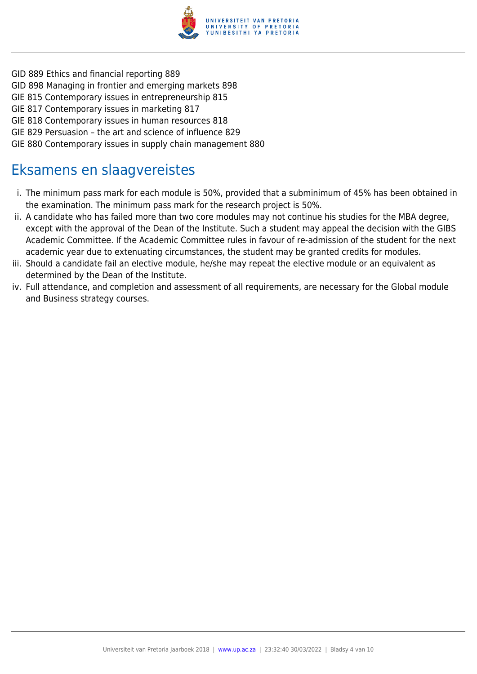

- GID 889 Ethics and financial reporting 889
- GID 898 Managing in frontier and emerging markets 898
- GIE 815 Contemporary issues in entrepreneurship 815
- GIE 817 Contemporary issues in marketing 817
- GIE 818 Contemporary issues in human resources 818
- GIE 829 Persuasion the art and science of influence 829
- GIE 880 Contemporary issues in supply chain management 880

### Eksamens en slaagvereistes

- i. The minimum pass mark for each module is 50%, provided that a subminimum of 45% has been obtained in the examination. The minimum pass mark for the research project is 50%.
- ii. A candidate who has failed more than two core modules may not continue his studies for the MBA degree, except with the approval of the Dean of the Institute. Such a student may appeal the decision with the GIBS Academic Committee. If the Academic Committee rules in favour of re-admission of the student for the next academic year due to extenuating circumstances, the student may be granted credits for modules.
- iii. Should a candidate fail an elective module, he/she may repeat the elective module or an equivalent as determined by the Dean of the Institute.
- iv. Full attendance, and completion and assessment of all requirements, are necessary for the Global module and Business strategy courses.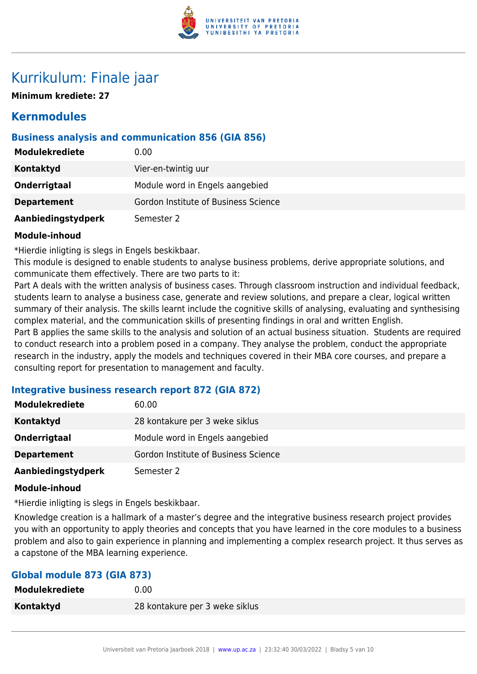

### Kurrikulum: Finale jaar

**Minimum krediete: 27**

### **Kernmodules**

#### **Business analysis and communication 856 (GIA 856)**

| Modulekrediete     | 0.00                                 |
|--------------------|--------------------------------------|
| <b>Kontaktyd</b>   | Vier-en-twintig uur                  |
| Onderrigtaal       | Module word in Engels aangebied      |
| <b>Departement</b> | Gordon Institute of Business Science |
| Aanbiedingstydperk | Semester 2                           |

#### **Module-inhoud**

\*Hierdie inligting is slegs in Engels beskikbaar.

This module is designed to enable students to analyse business problems, derive appropriate solutions, and communicate them effectively. There are two parts to it:

Part A deals with the written analysis of business cases. Through classroom instruction and individual feedback, students learn to analyse a business case, generate and review solutions, and prepare a clear, logical written summary of their analysis. The skills learnt include the cognitive skills of analysing, evaluating and synthesising complex material, and the communication skills of presenting findings in oral and written English. Part B applies the same skills to the analysis and solution of an actual business situation. Students are required to conduct research into a problem posed in a company. They analyse the problem, conduct the appropriate research in the industry, apply the models and techniques covered in their MBA core courses, and prepare a consulting report for presentation to management and faculty.

#### **Integrative business research report 872 (GIA 872)**

| <b>Modulekrediete</b> | 60.00                                |
|-----------------------|--------------------------------------|
| <b>Kontaktyd</b>      | 28 kontakure per 3 weke siklus       |
| Onderrigtaal          | Module word in Engels aangebied      |
| <b>Departement</b>    | Gordon Institute of Business Science |
| Aanbiedingstydperk    | Semester 2                           |

#### **Module-inhoud**

\*Hierdie inligting is slegs in Engels beskikbaar.

Knowledge creation is a hallmark of a master's degree and the integrative business research project provides you with an opportunity to apply theories and concepts that you have learned in the core modules to a business problem and also to gain experience in planning and implementing a complex research project. It thus serves as a capstone of the MBA learning experience.

#### **Global module 873 (GIA 873)**

| <b>Modulekrediete</b> | 0.00                           |
|-----------------------|--------------------------------|
| Kontaktyd             | 28 kontakure per 3 weke siklus |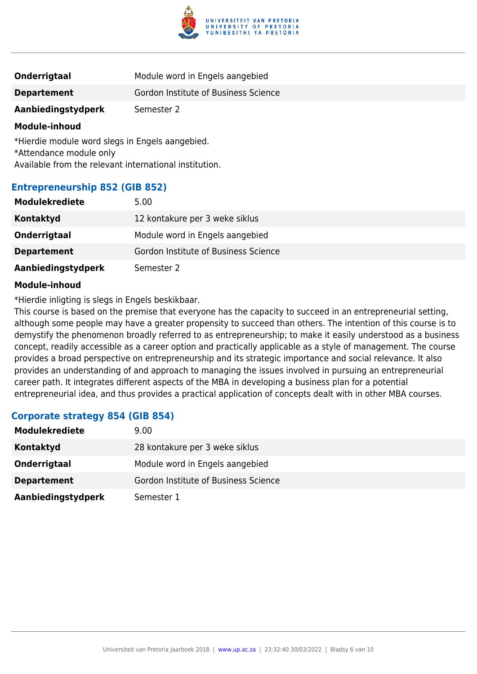

| Onderrigtaal       | Module word in Engels aangebied      |
|--------------------|--------------------------------------|
| <b>Departement</b> | Gordon Institute of Business Science |
| Aanbiedingstydperk | Semester 2                           |

\*Hierdie module word slegs in Engels aangebied. \*Attendance module only Available from the relevant international institution.

#### **Entrepreneurship 852 (GIB 852)**

| <b>Modulekrediete</b> | 5.00                                 |
|-----------------------|--------------------------------------|
| <b>Kontaktyd</b>      | 12 kontakure per 3 weke siklus       |
| Onderrigtaal          | Module word in Engels aangebied      |
| <b>Departement</b>    | Gordon Institute of Business Science |
| Aanbiedingstydperk    | Semester 2                           |

#### **Module-inhoud**

\*Hierdie inligting is slegs in Engels beskikbaar.

This course is based on the premise that everyone has the capacity to succeed in an entrepreneurial setting, although some people may have a greater propensity to succeed than others. The intention of this course is to demystify the phenomenon broadly referred to as entrepreneurship; to make it easily understood as a business concept, readily accessible as a career option and practically applicable as a style of management. The course provides a broad perspective on entrepreneurship and its strategic importance and social relevance. It also provides an understanding of and approach to managing the issues involved in pursuing an entrepreneurial career path. It integrates different aspects of the MBA in developing a business plan for a potential entrepreneurial idea, and thus provides a practical application of concepts dealt with in other MBA courses.

#### **Corporate strategy 854 (GIB 854)**

| <b>Modulekrediete</b> | 9.00                                 |
|-----------------------|--------------------------------------|
| Kontaktyd             | 28 kontakure per 3 weke siklus       |
| Onderrigtaal          | Module word in Engels aangebied      |
| <b>Departement</b>    | Gordon Institute of Business Science |
| Aanbiedingstydperk    | Semester 1                           |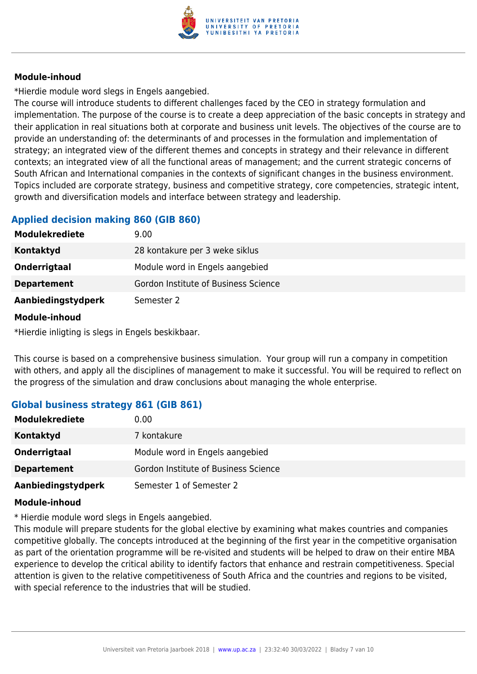

\*Hierdie module word slegs in Engels aangebied.

The course will introduce students to different challenges faced by the CEO in strategy formulation and implementation. The purpose of the course is to create a deep appreciation of the basic concepts in strategy and their application in real situations both at corporate and business unit levels. The objectives of the course are to provide an understanding of: the determinants of and processes in the formulation and implementation of strategy; an integrated view of the different themes and concepts in strategy and their relevance in different contexts; an integrated view of all the functional areas of management; and the current strategic concerns of South African and International companies in the contexts of significant changes in the business environment. Topics included are corporate strategy, business and competitive strategy, core competencies, strategic intent, growth and diversification models and interface between strategy and leadership.

#### **Applied decision making 860 (GIB 860)**

| <b>Modulekrediete</b> | 9.00                                 |
|-----------------------|--------------------------------------|
| Kontaktyd             | 28 kontakure per 3 weke siklus       |
| Onderrigtaal          | Module word in Engels aangebied      |
| <b>Departement</b>    | Gordon Institute of Business Science |
| Aanbiedingstydperk    | Semester 2                           |

#### **Module-inhoud**

\*Hierdie inligting is slegs in Engels beskikbaar.

This course is based on a comprehensive business simulation. Your group will run a company in competition with others, and apply all the disciplines of management to make it successful. You will be required to reflect on the progress of the simulation and draw conclusions about managing the whole enterprise.

#### **Global business strategy 861 (GIB 861)**

| <b>Modulekrediete</b> | 0.00                                 |
|-----------------------|--------------------------------------|
| Kontaktyd             | 7 kontakure                          |
| Onderrigtaal          | Module word in Engels aangebied      |
| <b>Departement</b>    | Gordon Institute of Business Science |
| Aanbiedingstydperk    | Semester 1 of Semester 2             |

#### **Module-inhoud**

\* Hierdie module word slegs in Engels aangebied.

This module will prepare students for the global elective by examining what makes countries and companies competitive globally. The concepts introduced at the beginning of the first year in the competitive organisation as part of the orientation programme will be re-visited and students will be helped to draw on their entire MBA experience to develop the critical ability to identify factors that enhance and restrain competitiveness. Special attention is given to the relative competitiveness of South Africa and the countries and regions to be visited, with special reference to the industries that will be studied.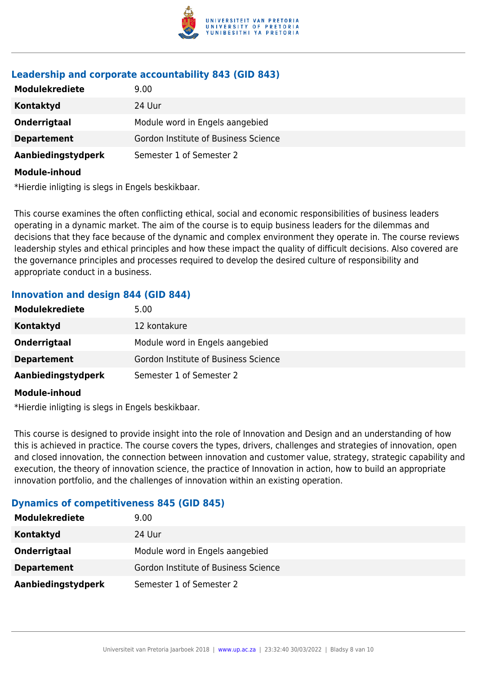

#### **Leadership and corporate accountability 843 (GID 843)**

| <b>Modulekrediete</b> | 9.00                                 |
|-----------------------|--------------------------------------|
| Kontaktyd             | 24 Uur                               |
| Onderrigtaal          | Module word in Engels aangebied      |
| <b>Departement</b>    | Gordon Institute of Business Science |
| Aanbiedingstydperk    | Semester 1 of Semester 2             |
| Module-inhoud         |                                      |

\*Hierdie inligting is slegs in Engels beskikbaar.

This course examines the often conflicting ethical, social and economic responsibilities of business leaders operating in a dynamic market. The aim of the course is to equip business leaders for the dilemmas and decisions that they face because of the dynamic and complex environment they operate in. The course reviews leadership styles and ethical principles and how these impact the quality of difficult decisions. Also covered are the governance principles and processes required to develop the desired culture of responsibility and appropriate conduct in a business.

#### **Innovation and design 844 (GID 844)**

| <b>Modulekrediete</b> | 5.00                                 |
|-----------------------|--------------------------------------|
| Kontaktyd             | 12 kontakure                         |
| Onderrigtaal          | Module word in Engels aangebied      |
| <b>Departement</b>    | Gordon Institute of Business Science |
| Aanbiedingstydperk    | Semester 1 of Semester 2             |

#### **Module-inhoud**

\*Hierdie inligting is slegs in Engels beskikbaar.

This course is designed to provide insight into the role of Innovation and Design and an understanding of how this is achieved in practice. The course covers the types, drivers, challenges and strategies of innovation, open and closed innovation, the connection between innovation and customer value, strategy, strategic capability and execution, the theory of innovation science, the practice of Innovation in action, how to build an appropriate innovation portfolio, and the challenges of innovation within an existing operation.

#### **Dynamics of competitiveness 845 (GID 845)**

| <b>Modulekrediete</b> | 9.00                                 |
|-----------------------|--------------------------------------|
| Kontaktyd             | 24 Uur                               |
| Onderrigtaal          | Module word in Engels aangebied      |
| <b>Departement</b>    | Gordon Institute of Business Science |
| Aanbiedingstydperk    | Semester 1 of Semester 2             |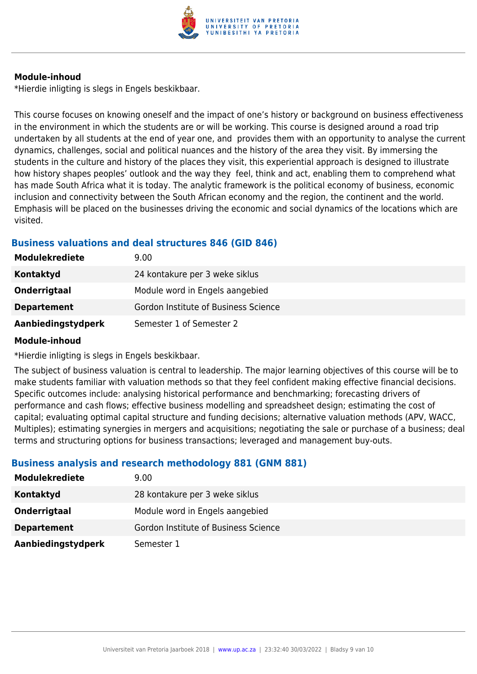

\*Hierdie inligting is slegs in Engels beskikbaar.

This course focuses on knowing oneself and the impact of one's history or background on business effectiveness in the environment in which the students are or will be working. This course is designed around a road trip undertaken by all students at the end of year one, and provides them with an opportunity to analyse the current dynamics, challenges, social and political nuances and the history of the area they visit. By immersing the students in the culture and history of the places they visit, this experiential approach is designed to illustrate how history shapes peoples' outlook and the way they feel, think and act, enabling them to comprehend what has made South Africa what it is today. The analytic framework is the political economy of business, economic inclusion and connectivity between the South African economy and the region, the continent and the world. Emphasis will be placed on the businesses driving the economic and social dynamics of the locations which are visited.

#### **Business valuations and deal structures 846 (GID 846)**

| 9.00                                 |
|--------------------------------------|
| 24 kontakure per 3 weke siklus       |
| Module word in Engels aangebied      |
| Gordon Institute of Business Science |
| Semester 1 of Semester 2             |
|                                      |

#### **Module-inhoud**

\*Hierdie inligting is slegs in Engels beskikbaar.

The subject of business valuation is central to leadership. The major learning objectives of this course will be to make students familiar with valuation methods so that they feel confident making effective financial decisions. Specific outcomes include: analysing historical performance and benchmarking; forecasting drivers of performance and cash flows; effective business modelling and spreadsheet design; estimating the cost of capital; evaluating optimal capital structure and funding decisions; alternative valuation methods (APV, WACC, Multiples); estimating synergies in mergers and acquisitions; negotiating the sale or purchase of a business; deal terms and structuring options for business transactions; leveraged and management buy-outs.

#### **Business analysis and research methodology 881 (GNM 881)**

| <b>Modulekrediete</b> | 9.00                                 |
|-----------------------|--------------------------------------|
| Kontaktyd             | 28 kontakure per 3 weke siklus       |
| Onderrigtaal          | Module word in Engels aangebied      |
| <b>Departement</b>    | Gordon Institute of Business Science |
| Aanbiedingstydperk    | Semester 1                           |